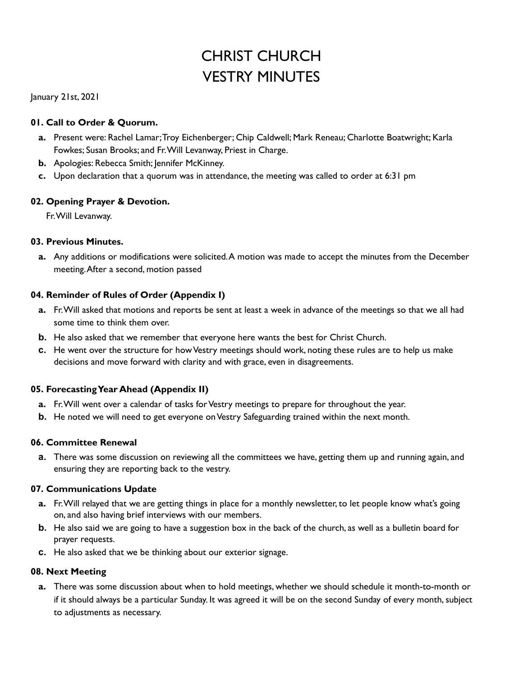# CHRIST CHURCH VESTRY MINUTES

January 21st, 2021

#### **01. Call to Order & Quorum.**

- **a.** Present were: Rachel Lamar;Troy Eichenberger; Chip Caldwell; Mark Reneau; Charlotte Boatwright; Karla Fowkes; Susan Brooks; and Fr.Will Levanway, Priest in Charge.
- **b.** Apologies: Rebecca Smith; Jennifer McKinney.
- **c.** Upon declaration that a quorum was in attendance, the meeting was called to order at 6:31 pm

#### **02. Opening Prayer & Devotion.**

Fr.Will Levanway.

#### **03. Previous Minutes.**

**a.** Any additions or modifications were solicited.A motion was made to accept the minutes from the December meeting.After a second, motion passed

#### **04. Reminder of Rules of Order (Appendix I)**

- **a.** Fr.Will asked that motions and reports be sent at least a week in advance of the meetings so that we all had some time to think them over.
- **b.** He also asked that we remember that everyone here wants the best for Christ Church.
- **c.** He went over the structure for how Vestry meetings should work, noting these rules are to help us make decisions and move forward with clarity and with grace, even in disagreements.

## **05. ForecastingYear Ahead (Appendix II)**

- **a.** Fr. Will went over a calendar of tasks for Vestry meetings to prepare for throughout the year.
- **b.** He noted we will need to get everyone on Vestry Safeguarding trained within the next month.

#### **06. Committee Renewal**

**a.** There was some discussion on reviewing all the committees we have, getting them up and running again, and ensuring they are reporting back to the vestry.

#### **07. Communications Update**

- **a.** Fr.Will relayed that we are getting things in place for a monthly newsletter, to let people know what's going on, and also having brief interviews with our members.
- **b.** He also said we are going to have a suggestion box in the back of the church, as well as a bulletin board for prayer requests.
- **c.** He also asked that we be thinking about our exterior signage.

#### **08. Next Meeting**

**a.** There was some discussion about when to hold meetings, whether we should schedule it month-to-month or if it should always be a particular Sunday. It was agreed it will be on the second Sunday of every month,subject to adjustments as necessary.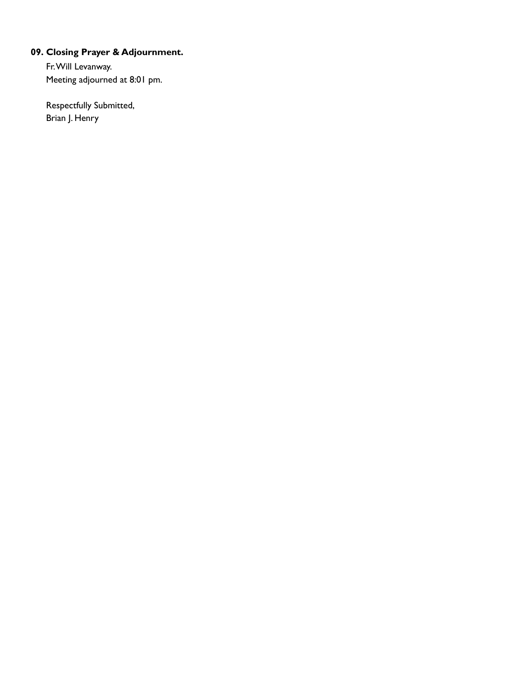# **09. Closing Prayer & Adjournment.**

Fr.Will Levanway. Meeting adjourned at 8:01 pm.

Respectfully Submitted, Brian J. Henry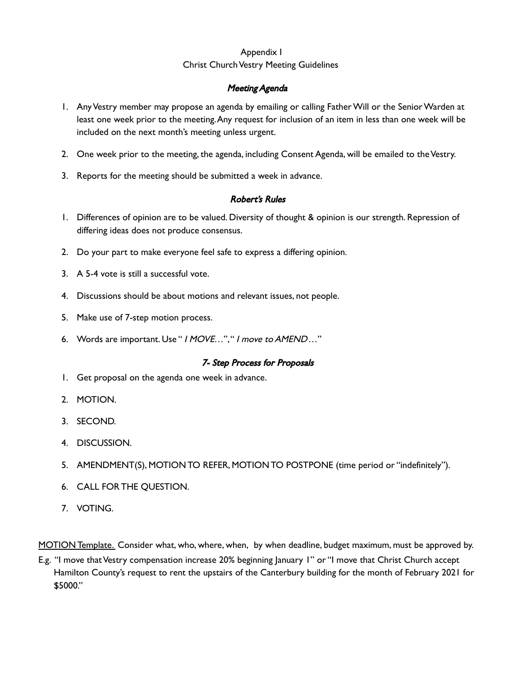## Appendix I Christ Church Vestry Meeting Guidelines

#### Meeting Agenda

- 1. AnyVestry member may propose an agenda by emailing or calling FatherWill or the SeniorWarden at least one week prior to the meeting.Any request for inclusion of an item in less than one week will be included on the next month's meeting unless urgent.
- 2. One week prior to the meeting, the agenda, including Consent Agenda, will be emailed to the Vestry.
- 3. Reports for the meeting should be submitted a week in advance.

#### Robert's Rules

- 1. Differences of opinion are to be valued. Diversity of thought & opinion is our strength. Repression of differing ideas does not produce consensus.
- 2. Do your part to make everyone feel safe to express a differing opinion.
- 3. A 5-4 vote is still a successful vote.
- 4. Discussions should be about motions and relevant issues, not people.
- 5. Make use of 7-step motion process.
- 6. Words are important. Use " <sup>I</sup> MOVE…"," <sup>I</sup> move to AMEND…"

#### 7- Step Process for Proposals

- 1. Get proposal on the agenda one week in advance.
- 2. MOTION.
- 3. SECOND.
- 4. DISCUSSION.
- 5. AMENDMENT(S), MOTIONTO REFER, MOTIONTO POSTPONE (time period or "indefinitely").
- 6. CALL FOR THE QUESTION.
- 7. VOTING.

MOTION Template. Consider what, who, where, when, by when deadline, budget maximum, must be approved by.

E.g. "I move that Vestry compensation increase 20% beginning January 1" or "I move that Christ Church accept Hamilton County's request to rent the upstairs of the Canterbury building for the month of February 2021 for \$5000."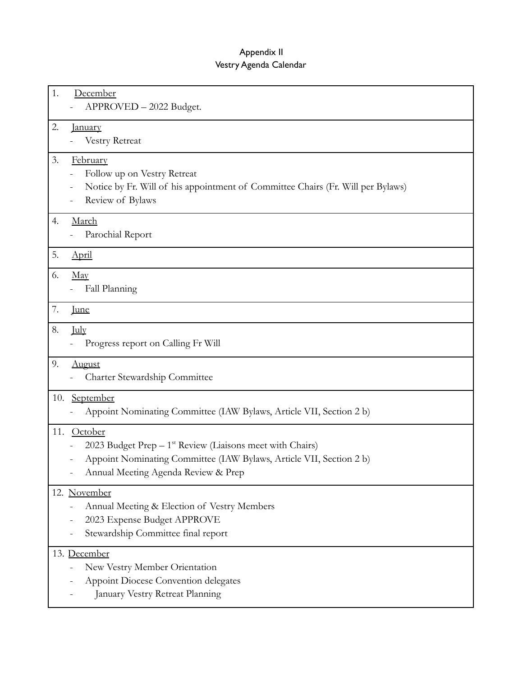## Appendix II Vestry Agenda Calendar

| 1. | December<br>APPROVED - 2022 Budget.                                                                                                                                                        |
|----|--------------------------------------------------------------------------------------------------------------------------------------------------------------------------------------------|
| 2. | <u>January</u><br>Vestry Retreat                                                                                                                                                           |
| 3. | February<br>Follow up on Vestry Retreat<br>Notice by Fr. Will of his appointment of Committee Chairs (Fr. Will per Bylaws)<br>Review of Bylaws                                             |
| 4. | March<br>Parochial Report                                                                                                                                                                  |
| 5. | April                                                                                                                                                                                      |
| 6. | $\frac{\text{May}}{\text{May}}$<br>Fall Planning                                                                                                                                           |
| 7. | <u>June</u>                                                                                                                                                                                |
| 8. | <b>July</b><br>Progress report on Calling Fr Will                                                                                                                                          |
| 9. | <b>August</b><br>Charter Stewardship Committee                                                                                                                                             |
|    | 10. September<br>Appoint Nominating Committee (IAW Bylaws, Article VII, Section 2 b)                                                                                                       |
|    | 11. October<br>2023 Budget Prep $-1^{st}$ Review (Liaisons meet with Chairs)<br>Appoint Nominating Committee (IAW Bylaws, Article VII, Section 2 b)<br>Annual Meeting Agenda Review & Prep |
|    | 12. November<br>Annual Meeting & Election of Vestry Members<br>2023 Expense Budget APPROVE<br>Stewardship Committee final report                                                           |
|    | 13. December<br>New Vestry Member Orientation<br>Appoint Diocese Convention delegates<br>January Vestry Retreat Planning                                                                   |